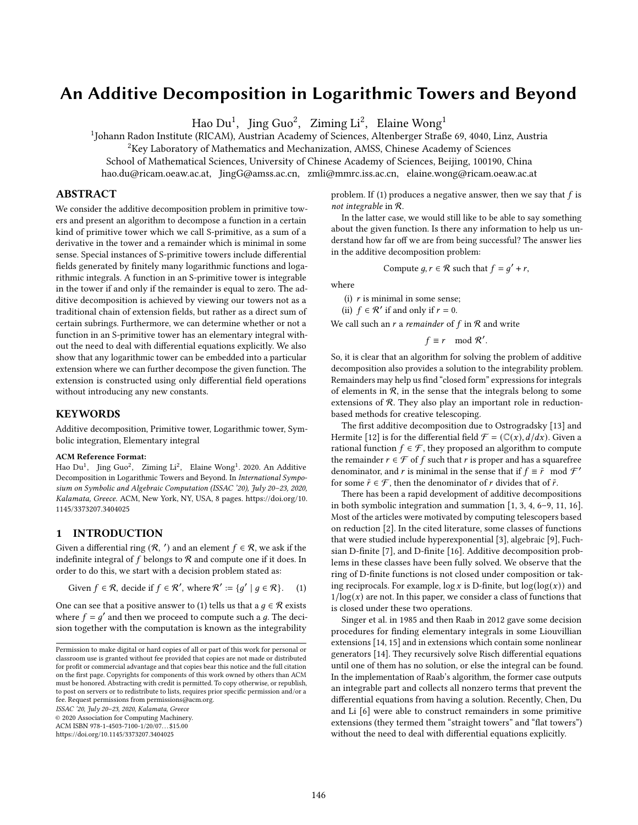# An Additive Decomposition in Logarithmic Towers and Beyond

Hao  ${\rm Du}^1$ ,  $\,\,{\rm Jing}\,{\rm Guo}^2$ ,  $\,\,{\rm Ziming}\,{\rm Li}^2$ ,  $\,\,{\rm Elaine}\,{\rm Wong}^1$ 

<sup>1</sup>Johann Radon Institute (RICAM), Austrian Academy of Sciences, Altenberger Straße 69, 4040, Linz, Austria

<sup>2</sup>Key Laboratory of Mathematics and Mechanization, AMSS, Chinese Academy of Sciences

School of Mathematical Sciences, University of Chinese Academy of Sciences, Beijing, 100190, China

hao.du@ricam.oeaw.ac.at, JingG@amss.ac.cn, zmli@mmrc.iss.ac.cn, elaine.wong@ricam.oeaw.ac.at

## ABSTRACT

We consider the additive decomposition problem in primitive towers and present an algorithm to decompose a function in a certain kind of primitive tower which we call S-primitive, as a sum of a derivative in the tower and a remainder which is minimal in some sense. Special instances of S-primitive towers include differential fields generated by finitely many logarithmic functions and logarithmic integrals. A function in an S-primitive tower is integrable in the tower if and only if the remainder is equal to zero. The additive decomposition is achieved by viewing our towers not as a traditional chain of extension fields, but rather as a direct sum of certain subrings. Furthermore, we can determine whether or not a function in an S-primitive tower has an elementary integral without the need to deal with differential equations explicitly. We also show that any logarithmic tower can be embedded into a particular extension where we can further decompose the given function. The extension is constructed using only differential field operations without introducing any new constants.

## **KEYWORDS**

Additive decomposition, Primitive tower, Logarithmic tower, Symbolic integration, Elementary integral

#### ACM Reference Format:

Hao Du<sup>1</sup>, Jing Guo<sup>2</sup>, Ziming Li<sup>2</sup>, Elaine Wong<sup>1</sup>. 2020. An Additive Decomposition in Logarithmic Towers and Beyond. In International Symposium on Symbolic and Algebraic Computation (ISSAC '20), July 20-23, 2020, Kalamata, Greece. ACM, New York, NY, USA, [8 p](#page-7-0)ages. [https://doi.org/10.](https://doi.org/10.1145/3373207.3404025) [1145/3373207.3404025](https://doi.org/10.1145/3373207.3404025)

## 1 INTRODUCTION

Given a differential ring  $(R, ' )$  and an element  $f \in R$ , we ask if the indefinite integral of  $f$  belongs to  $R$  and compute one if it does. In order to do this, we start with a decision problem stated as:

<span id="page-0-0"></span>Given 
$$
f \in \mathcal{R}
$$
, decide if  $f \in \mathcal{R}'$ , where  $\mathcal{R}' := \{g' \mid g \in \mathcal{R}\}$ . (1)

One can see that a positive answer to [\(1\)](#page-0-0) tells us that a  $q \in \mathcal{R}$  exists where  $f = g'$  and then we proceed to compute such a g. The decision together with the computation is known as the integrability

ISSAC '20, July 20-23, 2020, Kalamata, Greece

© 2020 Association for Computing Machinery.

ACM ISBN 978-1-4503-7100-1/20/07...\$15.00

<https://doi.org/10.1145/3373207.3404025>

problem. If [\(1\)](#page-0-0) produces a negative answer, then we say that  $f$  is not integrable in R.

In the latter case, we would still like to be able to say something about the given function. Is there any information to help us understand how far off we are from being successful? The answer lies in the additive decomposition problem:

Compute 
$$
g, r \in \mathcal{R}
$$
 such that  $f = g' + r$ ,

where

(i)  $r$  is minimal in some sense;

(ii)  $f \in \mathcal{R}'$  if and only if  $r = 0$ .

We call such an  $r$  a remainder of  $f$  in  $R$  and write

 $f \equiv r \mod \mathcal{R}'$ .

So, it is clear that an algorithm for solving the problem of additive decomposition also provides a solution to the integrability problem. Remainders may help us find "closed form" expressions for integrals of elements in  $R$ , in the sense that the integrals belong to some extensions of  $R$ . They also play an important role in reductionbased methods for creative telescoping.

The first additive decomposition due to Ostrogradsky [\[13\]](#page-7-1) and Hermite [\[12\]](#page-7-2) is for the differential field  $\mathcal{F} = (\mathbb{C}(x), d/dx)$ . Given a rational function  $f \in \mathcal{F}$ , they proposed an algorithm to compute the remainder  $r \in \mathcal{F}$  of f such that r is proper and has a squarefree denominator, and *r* is minimal in the sense that if  $f \equiv \tilde{r} \mod \mathcal{F}'$ for some  $\tilde{r} \in \mathcal{F}$ , then the denominator of r divides that of  $\tilde{r}$ .

There has been a rapid development of additive decompositions in both symbolic integration and summation  $[1, 3, 4, 6-9, 11, 16]$  $[1, 3, 4, 6-9, 11, 16]$  $[1, 3, 4, 6-9, 11, 16]$  $[1, 3, 4, 6-9, 11, 16]$  $[1, 3, 4, 6-9, 11, 16]$  $[1, 3, 4, 6-9, 11, 16]$  $[1, 3, 4, 6-9, 11, 16]$  $[1, 3, 4, 6-9, 11, 16]$  $[1, 3, 4, 6-9, 11, 16]$  $[1, 3, 4, 6-9, 11, 16]$ . Most of the articles were motivated by computing telescopers based on reduction [\[2\]](#page-7-10). In the cited literature, some classes of functions that were studied include hyperexponential [\[3\]](#page-7-4), algebraic [\[9\]](#page-7-7), Fuchsian D-finite [\[7\]](#page-7-11), and D-finite [\[16\]](#page-7-9). Additive decomposition problems in these classes have been fully solved. We observe that the ring of D-finite functions is not closed under composition or taking reciprocals. For example,  $\log x$  is D-finite, but  $\log(\log(x))$  and  $1/log(x)$  are not. In this paper, we consider a class of functions that is closed under these two operations.

Singer et al. in 1985 and then Raab in 2012 gave some decision procedures for finding elementary integrals in some Liouvillian extensions [\[14,](#page-7-12) [15\]](#page-7-13) and in extensions which contain some nonlinear generators [\[14\]](#page-7-12). They recursively solve Risch differential equations until one of them has no solution, or else the integral can be found. In the implementation of Raab's algorithm, the former case outputs an integrable part and collects all nonzero terms that prevent the differential equations from having a solution. Recently, Chen, Du and Li [\[6\]](#page-7-6) were able to construct remainders in some primitive extensions (they termed them "straight towers" and "flat towers") without the need to deal with differential equations explicitly.

Permission to make digital or hard copies of all or part of this work for personal or classroom use is granted without fee provided that copies are not made or distributed for profit or commercial advantage and that copies bear this notice and the full citation on the first page. Copyrights for components of this work owned by others than ACM must be honored. Abstracting with credit is permitted. To copy otherwise, or republish, to post on servers or to redistribute to lists, requires prior specific permission and/or a fee. Request permissions from permissions@acm.org.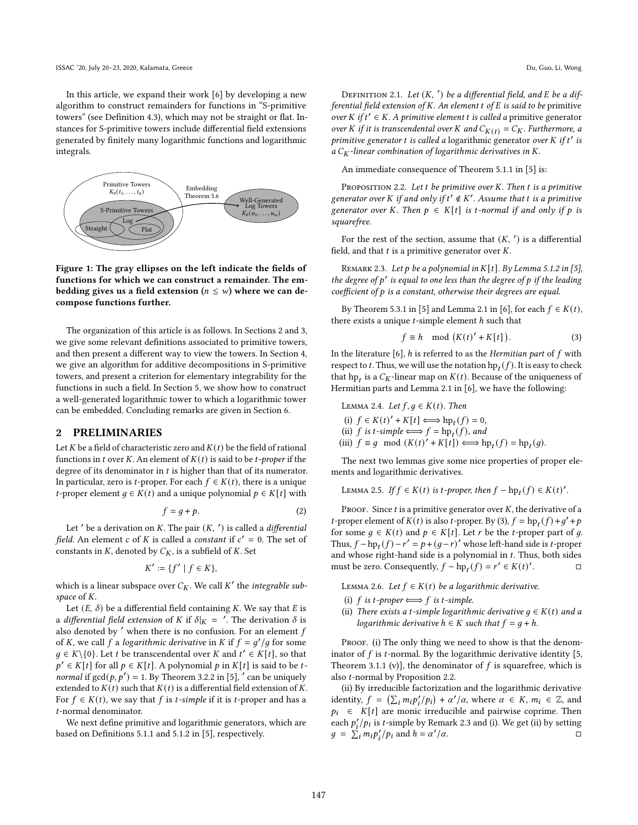In this article, we expand their work [\[6\]](#page-7-6) by developing a new algorithm to construct remainders for functions in "S-primitive towers" (see Definition [4.3\)](#page-3-0), which may not be straight or flat. Instances for S-primitive towers include differential field extensions generated by finitely many logarithmic functions and logarithmic integrals.



Figure 1: The gray ellipses on the left indicate the fields of functions for which we can construct a remainder. The embedding gives us a field extension ( $n \leq w$ ) where we can decompose functions further.

The organization of this article is as follows. In Sections [2](#page-1-0) and [3,](#page-2-0) we give some relevant definitions associated to primitive towers, and then present a different way to view the towers. In Section [4,](#page-3-1) we give an algorithm for additive decompositions in S-primitive towers, and present a criterion for elementary integrability for the functions in such a field. In Section [5,](#page-5-0) we show how to construct a well-generated logarithmic tower to which a logarithmic tower can be embedded. Concluding remarks are given in Section [6.](#page-7-14)

#### <span id="page-1-0"></span>2 PRELIMINARIES

Let  $K$  be a field of characteristic zero and  $K(t)$  be the field of rational functions in t over K. An element of  $K(t)$  is said to be t-proper if the degree of its denominator in  $t$  is higher than that of its numerator. In particular, zero is *t*-proper. For each  $f \in K(t)$ , there is a unique *t*-proper element  $g \in K(t)$  and a unique polynomial  $p \in K[t]$  with

<span id="page-1-4"></span>
$$
f = g + p. \tag{2}
$$

Let  $'$  be a derivation on  $K$ . The pair  $(K, ' )$  is called a *differential* field. An element c of K is called a constant if  $c' = 0$ . The set of constants in  $K$ , denoted by  $C_K$ , is a subfield of  $K$ . Set

$$
K' := \{f' \mid f \in K\},\
$$

which is a linear subspace over  $C_K$ . We call  $K'$  the *integrable sub*space of  $K$ .

Let  $(E, \delta)$  be a differential field containing K. We say that E is a *differential field extension* of K if  $\delta |_{K}$  =  $'$ . The derivation  $\delta$  is also denoted by  $'$  when there is no confusion. For an element  $f$ of K, we call f a logarithmic derivative in K if  $f = g'/g$  for some  $g \in K \setminus \{0\}$ . Let *t* be transcendental over *K* and  $t' \in K[t]$ , so that  $p' \in K[t]$  for all  $p \in K[t]$ . A polynomial  $p$  in  $K[t]$  is said to be t*normal* if  $gcd(p, p') = 1$ . By Theorem 3.2.2 in [\[5\]](#page-7-15), ' can be uniquely extended to  $K(t)$  such that  $K(t)$  is a differential field extension of K. For  $f \in K(t)$ , we say that f is *t*-simple if it is *t*-proper and has a -normal denominator.

We next define primitive and logarithmic generators, which are based on Definitions 5.1.1 and 5.1.2 in [\[5\]](#page-7-15), respectively.

<span id="page-1-5"></span>DEFINITION 2.1. Let  $(K, ' )$  be a differential field, and  $\bar{E}$  be a differential field extension of  $K$ . An element  $t$  of  $E$  is said to be primitive over K if  $t' \in K$ . A primitive element t is called a primitive generator over K if it is transcendental over K and  $C_{K(t)} = C_K$ . Furthermore, a primitive generator  $t$  is called a logarithmic generator over  $K$  if  $t'$  is a  $C_K$ -linear combination of logarithmic derivatives in K.

An immediate consequence of Theorem 5.1.1 in [\[5\]](#page-7-15) is:

<span id="page-1-2"></span>PROPOSITION 2.2. Let  $t$  be primitive over  $K$ . Then  $t$  is a primitive generator over K if and only if  $t' \notin K'$ . Assume that t is a primitive generator over K. Then  $p \in K[t]$  is t-normal if and only if p is squarefree.

For the rest of the section, assume that  $(K, ' )$  is a differential field, and that  $t$  is a primitive generator over  $K$ .

<span id="page-1-3"></span>REMARK 2.3. Let  $p$  be a polynomial in  $K[t]$ . By Lemma 5.1.2 in [\[5\]](#page-7-15), the degree of  $p'$  is equal to one less than the degree of  $p$  if the leading coefficient of  $p$  is a constant, otherwise their degrees are equal.

By Theorem 5.3.1 in [\[5\]](#page-7-15) and Lemma 2.1 in [\[6\]](#page-7-6), for each  $f \in K(t)$ , there exists a unique  $t$ -simple element  $h$  such that

<span id="page-1-1"></span>
$$
f \equiv h \mod (K(t)' + K[t]). \tag{3}
$$

In the literature [\[6\]](#page-7-6),  $h$  is referred to as the Hermitian part of  $f$  with respect to  $t$ . Thus, we will use the notation  $\text{hp}_t(f)$ . It is easy to check that  $hp_t$  is a  $C_K$ -linear map on  $K(t)$ . Because of the uniqueness of Hermitian parts and Lemma 2.1 in [\[6\]](#page-7-6), we have the following:

<span id="page-1-8"></span>LEMMA 2.4. Let  $f, g \in K(t)$ . Then

(i)  $f \in K(t)' + K[t] \Longleftrightarrow \text{hp}_t(f) = 0,$ 

(ii)  $f$  is  $t$ -simple  $\Longleftrightarrow f = \text{hp}_t(f)$ , and

(iii)  $f \equiv g \mod (K(t)^{t} + K[t]) \Longleftrightarrow \text{hp}_{t}(f) = \text{hp}_{t}(g).$ 

The next two lemmas give some nice properties of proper elements and logarithmic derivatives.

<span id="page-1-7"></span>LEMMA 2.5. If  $f \in K(t)$  is t-proper, then  $f - hp_t(f) \in K(t)'$ .

PROOF. Since  $t$  is a primitive generator over  $K$ , the derivative of a *t*-proper element of  $K(t)$  is also *t*-proper. By [\(3\)](#page-1-1),  $f = hp_t(f) + g' + p$ for some  $g \in K(t)$  and  $p \in K[t]$ . Let r be the t-proper part of g. Thus,  $f - hp_t(f) - r' = p + (g - r)'$  whose left-hand side is *t*-proper and whose right-hand side is a polynomial in  $t$ . Thus, both sides must be zero. Consequently,  $f - hp_t(f) = r' \in K(t)'$ . □

<span id="page-1-6"></span>LEMMA 2.6. Let  $f \in K(t)$  be a logarithmic derivative.

- (i)  $f$  is  $t$ -proper  $\Longleftrightarrow f$  is  $t$ -simple.
- (ii) There exists a t-simple logarithmic derivative  $g \in K(t)$  and a logarithmic derivative  $h \in K$  such that  $f = q + h$ .

PROOF. (i) The only thing we need to show is that the denominator of  $f$  is  $t$ -normal. By the logarithmic derivative identity [\[5,](#page-7-15) Theorem 3.1.1 (v)], the denominator of  $f$  is squarefree, which is also  $t$ -normal by Proposition [2.2.](#page-1-2)

(ii) By irreducible factorization and the logarithmic derivative identity,  $f = (\sum_i m_i p'_i / p_i) + \alpha' / \alpha$ , where  $\alpha \in K$ ,  $m_i \in \mathbb{Z}$ , and  $p_i \in K[t]$  are monic irreducible and pairwise coprime. Then each  $p'_i/p_i$  is *t*-simple by Remark [2.3](#page-1-3) and (i). We get (ii) by setting  $g = \sum_i m_i p'_i / p_i$  and  $h = \alpha'$  $/\alpha$ .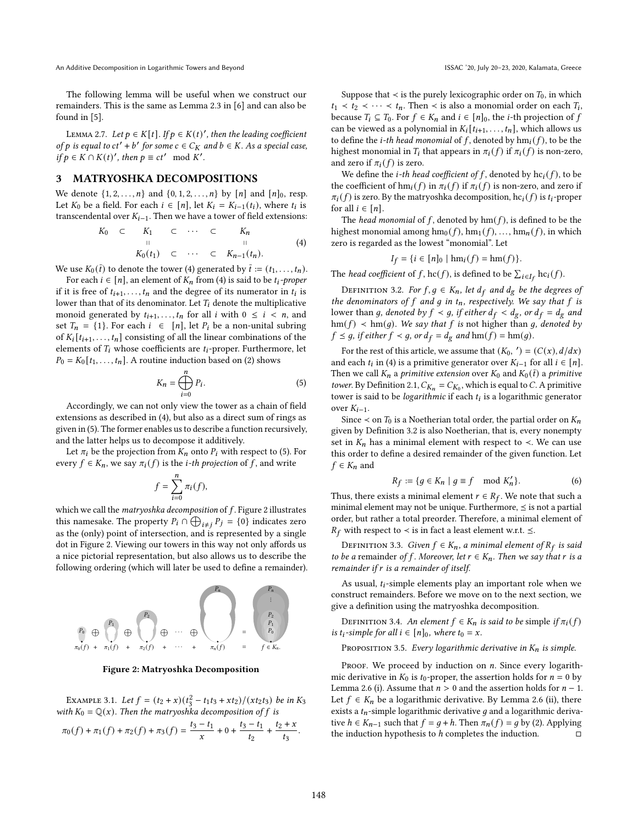An Additive Decomposition in Logarithmic Towers and Beyond **ISSAC 10**, July 20-23, 2020, Kalamata, Greece

The following lemma will be useful when we construct our remainders. This is the same as Lemma 2.3 in [\[6\]](#page-7-6) and can also be found in [\[5\]](#page-7-15).

<span id="page-2-7"></span>LEMMA 2.7. Let  $p \in K[t]$ . If  $p \in K(t)'$ , then the leading coefficient of p is equal to  $ct' + b'$  for some  $c \in C_K$  and  $b \in K$ . As a special case, if  $p \in K \cap K(t)'$ , then  $p \equiv ct' \mod K'$ .

## <span id="page-2-0"></span>3 MATRYOSHKA DECOMPOSITIONS

We denote  $\{1, 2, ..., n\}$  and  $\{0, 1, 2, ..., n\}$  by  $[n]$  and  $[n]_0$ , resp. Let  $K_0$  be a field. For each  $i \in [n]$ , let  $K_i = K_{i-1}(t_i)$ , where  $t_i$  is transcendental over  $K_{i-1}$ . Then we have a tower of field extensions:

<span id="page-2-1"></span>
$$
K_0 \subset K_1 \subset \cdots \subset K_n
$$
  
\n
$$
K_0(t_1) \subset \cdots \subset K_{n-1}(t_n).
$$
  
\n(4)

We use  $K_0(\bar{t})$  to denote the tower [\(4\)](#page-2-1) generated by  $\bar{t} := (t_1, \ldots, t_n)$ .

For each  $i \in [n]$ , an element of  $K_n$  from [\(4\)](#page-2-1) is said to be  $t_i$ -proper if it is free of  $t_{i+1}, \ldots, t_n$  and the degree of its numerator in  $t_i$  is lower than that of its denominator. Let  $T_i$  denote the multiplicative monoid generated by  $t_{i+1}, \ldots, t_n$  for all  $i$  with  $0 \le i \le n$ , and set  $T_n = \{1\}$ . For each  $i \in [n]$ , let  $P_i$  be a non-unital subring of  $K_i[t_{i+1}, \ldots, t_n]$  consisting of all the linear combinations of the elements of  $T_i$  whose coefficients are  $t_i$ -proper. Furthermore, let  $P_0 = K_0[t_1, \ldots, t_n]$ . A routine induction based on [\(2\)](#page-1-4) shows

<span id="page-2-2"></span>
$$
K_n = \bigoplus_{i=0}^n P_i. \tag{5}
$$

Accordingly, we can not only view the tower as a chain of field extensions as described in [\(4\)](#page-2-1), but also as a direct sum of rings as given in [\(5\)](#page-2-2). The former enables us to describe a function recursively, and the latter helps us to decompose it additively.

Let  $\pi_i$  be the projection from  $K_n$  onto  $P_i$  with respect to [\(5\)](#page-2-2). For every  $f \in K_n$ , we say  $\pi_i(f)$  is the *i*-th projection of f, and write

$$
f = \sum_{i=0}^{n} \pi_i(f),
$$

which we call the matryoshka decomposition of  $f$ . Figur[e 2 i](#page-2-3)llustrates this namesake. The property  $P_i \cap \bigoplus_{i \neq j} P_j = \{0\}$  indicates zero as the (only) point of intersection, and is represented by a single dot in Figure [2.](#page-2-3) Viewing our towers in this way not only affords us a nice pictorial representation, but also allows us to describe the following ordering (which will later be used to define a remainder).

<span id="page-2-3"></span>

Figure 2: Matryoshka Decomposition

EXAMPLE 3.1. Let  $f = (t_2 + x)(t_3^2 - t_1t_3 + xt_2)/(xt_2t_3)$  be in K<sub>3</sub> with  $K_0 = \mathbb{Q}(x)$ . Then the matryoshka decomposition of f is

$$
\pi_0(f) + \pi_1(f) + \pi_2(f) + \pi_3(f) = \frac{t_3 - t_1}{x} + 0 + \frac{t_3 - t_1}{t_2} + \frac{t_2 + x}{t_3}.
$$

Suppose that  $\prec$  is the purely lexicographic order on  $T_0$ , in which  $t_1 \lt t_2 \lt \cdots \lt t_n$ . Then  $\lt$  is also a monomial order on each  $T_i$ , because  $T_i \subseteq T_0$ . For  $f \in K_n$  and  $i \in [n]_0$ , the *i*-th projection of f can be viewed as a polynomial in  $K_i[t_{i+1}, \ldots, t_n]$ , which allows us to define the *i*-th head monomial of f, denoted by  $\text{hm}_i(f)$ , to be the highest monomial in  $T_i$  that appears in  $\pi_i(f)$  if  $\pi_i(f)$  is non-zero, and zero if  $\pi_i(f)$  is zero.

We define the *i*-th head coefficient of f, denoted by  $hc_i(f)$ , to be the coefficient of hm<sub>i</sub>(f) in  $\pi_i(f)$  if  $\pi_i(f)$  is non-zero, and zero if  $\pi_i(f)$  is zero. By the matryoshka decomposition,  $hc_i(f)$  is  $t_i$ -proper for all  $i \in [n]$ .

The head monomial of f, denoted by  $\text{hm}(f)$ , is defined to be the highest monomial among  $\text{hm}_0(f)$ ,  $\text{hm}_1(f)$ , ...,  $\text{hm}_n(f)$ , in which zero is regarded as the lowest "monomial". Let

$$
I_f = \{ i \in [n]_0 \mid \text{hm}_i(f) = \text{hm}(f) \}.
$$

The *head coefficient* of f,  $\mathrm{hc}(f)$ , is defined to be  $\sum_{i \in I_f} \mathrm{hc}_i(f)$ .

<span id="page-2-4"></span>DEFINITION 3.2. For  $f, g \in K_n$ , let  $d_f$  and  $d_g$  be the degrees of the denominators of  $f$  and  $g$  in  $t_n$ , respectively. We say that  $f$  is lower than g, denoted by  $f \prec g$ , if either  $d_f \prec d_g$ , or  $d_f = d_g$  and  $hm(f)$  < hm(g). We say that f is not higher than g, denoted by  $f \leq g$ , if either  $f \prec g$ , or  $d_f = d_g$  and  $\text{hm}(f) = \text{hm}(g)$ .

For the rest of this article, we assume that  $(K_0, ' ) = (C(x), d/dx)$ and each  $t_i$  in [\(4\)](#page-2-1) is a primitive generator over  $K_{i-1}$  for all  $i \in [n]$ . Then we call  $K_n$  a *primitive extension* over  $K_0$  and  $K_0 (\bar{t})$  a *primitive* tower. By Definition [2.1,](#page-1-5)  $C_{K_n} = C_{K_0}$ , which is equal to C. A primitive tower is said to be *logarithmic* if each  $t_i$  is a logarithmic generator over  $K_{i-1}$ .

Since  $\le$  on  $T_0$  is a Noetherian total order, the partial order on  $K_n$ given by Definitio[n 3.2 i](#page-2-4)s also Noetherian, that is, every nonempty set in  $K_n$  has a minimal element with respect to  $\prec$ . We can use this order to define a desired remainder of the given function. Let  $f \in K_n$  and

<span id="page-2-8"></span>
$$
R_f := \{ g \in K_n \mid g \equiv f \mod K'_n \}. \tag{6}
$$

Thus, there exists a minimal element  $r \in R_f$ . We note that such a minimal element may not be unique. Furthermore,  $\leq$  is not a partial order, but rather a total preorder. Therefore, a minimal element of  $R_f$  with respect to  $\prec$  is in fact a least element w.r.t.  $\leq$ .

DEFINITION 3.3. *Given*  $f \in K_n$ , a minimal element of  $R_f$  is said to be a remainder of f. Moreover, let  $r \in K_n$ . Then we say that r is a remainder if  $r$  is a remainder of itself.

As usual,  $t_i$ -simple elements play an important role when we construct remainders. Before we move on to the next section, we give a definition using the matryoshka decomposition.

<span id="page-2-6"></span>DEFINITION 3.4. An element  $f \in K_n$  is said to be simple if  $\pi_i(f)$ is  $t_i$ -simple for all  $i \in [n]_0$ , where  $t_0 = x$ .

<span id="page-2-5"></span>PROPOSITION 3.5. Every logarithmic derivative in  $K_n$  is simple.

PROOF. We proceed by induction on  $n$ . Since every logarithmic derivative in  $K_0$  is  $t_0$ -proper, the assertion holds for  $n = 0$  by Lemma [2.6](#page-1-6) (i). Assume that  $n > 0$  and the assertion holds for  $n - 1$ . Let  $f \in K_n$  be a logarithmic derivative. By Lemma [2.6](#page-1-6) (ii), there exists a  $t_n$ -simple logarithmic derivative g and a logarithmic derivative  $h \in K_{n-1}$  such that  $f = g + h$ . Then  $\pi_n(f) = g$  by [\(2\)](#page-1-4). Applying the induction hypothesis to  $h$  completes the induction.  $\square$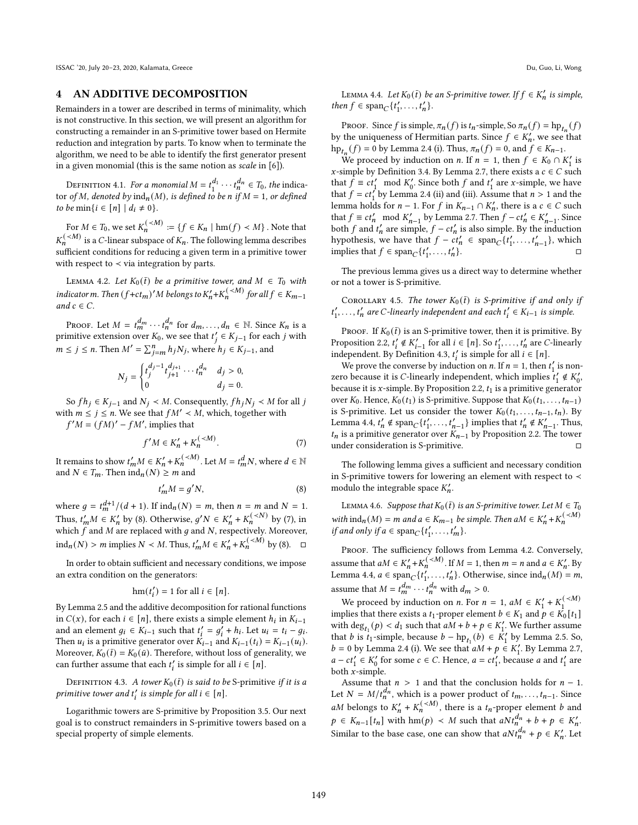ISSAC '20, July 20–23, 2020, Kalamata, Greece Du, Guo, Li, Wong

## <span id="page-3-1"></span>4 AN ADDITIVE DECOMPOSITION

Remainders in a tower are described in terms of minimality, which is not constructive. In this section, we will present an algorithm for constructing a remainder in an S-primitive tower based on Hermite reduction and integration by parts. To know when to terminate the algorithm, we need to be able to identify the first generator present in a given monomial (this is the same notion as scale in [\[6\]](#page-7-6)).

DEFINITION 4.1. For a monomial  $M = t_1^{d_1} \cdots t_n^{d_n} \in T_0$ , the indicator of M, denoted by  $\text{ind}_n(M)$ , is defined to be n if  $M = 1$ , or defined to be min $\{i \in [n] \mid d_i \neq 0\}.$ 

For  $M \in T_0$ , we set  $K_n^{(\prec M)} := \{ f \in K_n \mid \text{hm}(f) \prec M \}$  . Note that  $K_n^{( is a  $C\text{-linear subspace of }K_n.$  The following lemma describes$ sufficient conditions for reducing a given term in a primitive tower with respect to  $\prec$  via integration by parts.

<span id="page-3-5"></span>LEMMA 4.2. Let  $K_0(\bar{t})$  be a primitive tower, and  $M \in T_0$  with indicator m. Then  $(f+ct_m)'M$  belongs to  $K'_n+K_n^{( for all  $f \in K_{m-1}$$ and  $c \in C$ .

Proof. Let  $M = t_m^{d_m} \cdots t_n^{d_n}$  for  $d_m, \ldots, d_n \in \mathbb{N}$ . Since  $K_n$  is a primitive extension over  $K_0$ , we see that  $t'_j \in K_{j-1}$  for each j with  $m \le j \le n$ . Then  $M' = \sum_{j=m}^{n} h_j N_j$ , where  $h_j \in K_{j-1}$ , and

$$
N_j = \begin{cases} t_j^{d_j - 1} t_{j+1}^{d_{j+1}} \cdots t_n^{d_n} & d_j > 0, \\ 0 & d_j = 0. \end{cases}
$$

So  $fh_i \in K_{i-1}$  and  $N_i \prec M$ . Consequently,  $fh_iN_i \prec M$  for all j with  $m \le j \le n$ . We see that  $f M' \prec M$ , which, together with  $f'M = (fM)' - fM'$ , implies that

 $-(\leq M)$ 

<span id="page-3-3"></span>
$$
f'M \in K'_n + K_n^{( (7)
$$

It remains to show  $t'_mM \in K'_n + K_n^{(. Let  $M = t_m^dN$ , where  $d \in \mathbb{N}$$ and  $N \in T_m$ . Then  $\text{ind}_n(N) \geq m$  and

<span id="page-3-2"></span>
$$
t'_m M = g' N,\t\t(8)
$$

where  $g = t_m^{d+1}/(d+1)$ . If  $\text{ind}_n(N) = m$ , then  $n = m$  and  $N = 1$ . Thus,  $t'_m M \in K'_n$  by [\(8\)](#page-3-2). Otherwise,  $g' N \in K'_n + K_n^{(*N*)}$  by [\(7\)](#page-3-3), in which  $f$  and  $M$  are replaced with  $g$  and  $N$ , respectively. Moreover, ind<sub>n</sub>(N) > m implies  $N < M$ . Thus,  $t'_m M \in K'_n + K_n^{( by [\(8\)](#page-3-2).  $\Box$$ 

In order to obtain sufficient and necessary conditions, we impose an extra condition on the generators:

$$
\mathrm{hm}(t_i') = 1 \text{ for all } i \in [n].
$$

By Lemm[a 2.5](#page-1-7) and the additive decomposition for rational functions in  $C(x)$ , for each  $i \in [n]$ , there exists a simple element  $h_i$  in  $K_{i-1}$ and an element  $g_i \in K_{i-1}$  such that  $t'_i = g'_i + h_i$ . Let  $u_i = t_i - g_i$ . Then  $u_i$  is a primitive generator over  $K_{i-1}$  and  $K_{i-1}(t_i) = K_{i-1}(u_i)$ . Moreover,  $K_0(\bar{t}) = K_0(\bar{u})$ . Therefore, without loss of generality, we can further assume that each  $t'_i$  is simple for all  $i \in [n]$ .

<span id="page-3-0"></span>DEFINITION 4.3. A tower  $K_0(\bar{t})$  is said to be S-primitive if it is a primitive tower and  $t'_{i}$  is simple for all  $i \in [n]$ .

Logarithmic towers are S-primitive by Proposition [3.5.](#page-2-5) Our next goal is to construct remainders in S-primitive towers based on a special property of simple elements.

<span id="page-3-4"></span>LEMMA 4.4. Let  $K_0(\bar{t})$  be an S-primitive tower. If  $f \in K_n'$  is simple, then  $f \in \text{span}_{C} \{t'_1, \ldots, t'_n\}.$ 

PROOF. Since f is simple,  $\pi_n(f)$  is  $t_n$ -simple, So  $\pi_n(f) = \text{hp}_{t_n}(f)$ by the uniqueness of Hermitian parts. Since  $f \in K'_n$ , we see that  $hp_{t_n}(f) = 0$  by Lemma [2.4 \(](#page-1-8)i). Thus,  $\pi_n(f) = 0$ , and  $f \in K_{n-1}$ .

We proceed by induction on *n*. If  $n = 1$ , then  $f \in K_0 \cap K_1'$  is x-simple by Definitio[n 3.4.](#page-2-6) By Lemm[a 2.7,](#page-2-7) there exists a  $c \in C$  such that  $f \equiv ct'_1 \mod K'_0$ . Since both  $f$  and  $t'_1$  are  $x$ -simple, we have that  $f = ct'_1$  by Lemm[a 2.4 \(](#page-1-8)ii) and (iii). Assume that  $n > 1$  and the lemma holds for  $n - 1$ . For  $f$  in  $K_{n-1} \cap K'_n$ , there is a  $c \in C$  such that  $f \equiv ct'_n \mod K'_{n-1}$  by Lemma [2.7.](#page-2-7) Then  $f - ct'_n \in K'_{n-1}$ . Since both f and  $t'_n$  are simple,  $f - ct'_n$  is also simple. By the induction hypothesis, we have that  $f - ct'_n \in \text{span}_{C} \{t'_1, \ldots, t'_{n-1}\},$  which implies that  $f \in \text{span}_{C} \{t'_1, \ldots, t'_n\}$ }. □

The previous lemma gives us a direct way to determine whether or not a tower is S-primitive.

<span id="page-3-7"></span>COROLLARY 4.5. The tower  $K_0(\bar{t})$  is S-primitive if and only if  $t'_1, \ldots, t'_n$  are C-linearly independent and each  $t'_i \in K_{i-1}$  is simple.

PROOF. If  $K_0(\bar{t})$  is an S-primitive tower, then it is primitive. By Proposition [2.2,](#page-1-2)  $t'_i \notin K'_{i-1}$  for all  $i \in [n]$ . So  $t'_1, \ldots, t'_n$  are *C*-linearly independent. By Definition [4.3,](#page-3-0)  $t'_i$  is simple for all  $i \in [n]$ .

We prove the converse by induction on *n*. If  $n = 1$ , then  $t'_1$  is nonzero because it is *C*-linearly independent, which implies  $t'_1 \notin K'_0$ , because it is  $x$ -simple. By Propositio[n 2.2,](#page-1-2)  $t_1$  is a primitive generator over  $K_0$ . Hence,  $K_0(t_1)$  is S-primitive. Suppose that  $K_0(t_1, \ldots, t_{n-1})$ is S-primitive. Let us consider the tower  $K_0(t_1, \ldots, t_{n-1}, t_n)$ . By Lemma [4.4,](#page-3-4)  $t'_n \notin \text{span}_{C} \{t'_1, \ldots, t'_{n-1}\}$  implies that  $t'_n \notin K'_{n-1}$ . Thus,  $t_n$  is a primitive generator over  $K_{n-1}$  by Propositio[n 2.2.](#page-1-2) The tower under consideration is S-primitive.  $□$ 

The following lemma gives a sufficient and necessary condition in S-primitive towers for lowering an element with respect to ≺ modulo the integrable space  $K'_n$ .

<span id="page-3-6"></span>LEMMA 4.6. Suppose that  $K_0(\bar{t})$  is an S-primitive tower. Let  $M \in T_0$ with  $\text{ind}_n(M) = m$  and  $a \in K_{m-1}$  be simple. Then  $aM \in K'_n + K_n^{($ if and only if  $a \in \text{span}_{C} \{t'_1, \ldots, t'_m\}.$ 

PROOF. The sufficiency follows from Lemma [4.2.](#page-3-5) Conversely, assume that  $aM \in K'_n + K_n^{(. If  $M = 1$ , then  $m = n$  and  $a \in K'_n$ . By$ Lemma [4.4,](#page-3-4)  $a \in \text{span}_{\mathcal{C}}\{t'_1, \ldots, t'_n\}$ . Otherwise, since  $\text{ind}_n(M) = m$ , assume that  $M = t_m^{d_m} \cdots t_n^{d_n}$  with  $d_m > 0$ .

We proceed by induction on *n*. For  $n = 1$ ,  $aM \in K'_1 + K_1^{($ implies that there exists a  $t_1$ -proper element  $b \in K_1$  and  $p \in K_0[t_1]$ with  $\deg_{t_1}(p) < d_1$  such that  $aM + b + p \in K'_1$ . We further assume that *b* is  $t_1$ -simple, because  $b - hp_{t_1}(b) \in K'_1$  by Lemma [2.5.](#page-1-7) So,  $b = 0$  by Lemma [2.4](#page-1-8) (i). We see that  $aM + p \in K'_1$ . By Lemma [2.7,](#page-2-7)  $a - ct'_1 \in K'_0$  for some  $c \in C$ . Hence,  $a = ct'_1$ , because a and  $t'_1$  are both  $x$ -simple.

Assume that  $n > 1$  and that the conclusion holds for  $n - 1$ . Let  $N = M/t_n^{d_n}$ , which is a power product of  $t_m, \ldots, t_{n-1}$ . Since aM belongs to  $K'_n + K_n^{(\prec M)}$ , there is a  $t_n$ -proper element b and  $p \in K_{n-1}[t_n]$  with  $\text{hm}(p) \prec M$  such that  $aNt_n^{d_n} + b + p \in K'_n$ . Similar to the base case, one can show that  $aNt_n^{d_n} + p \in K'_n$ . Let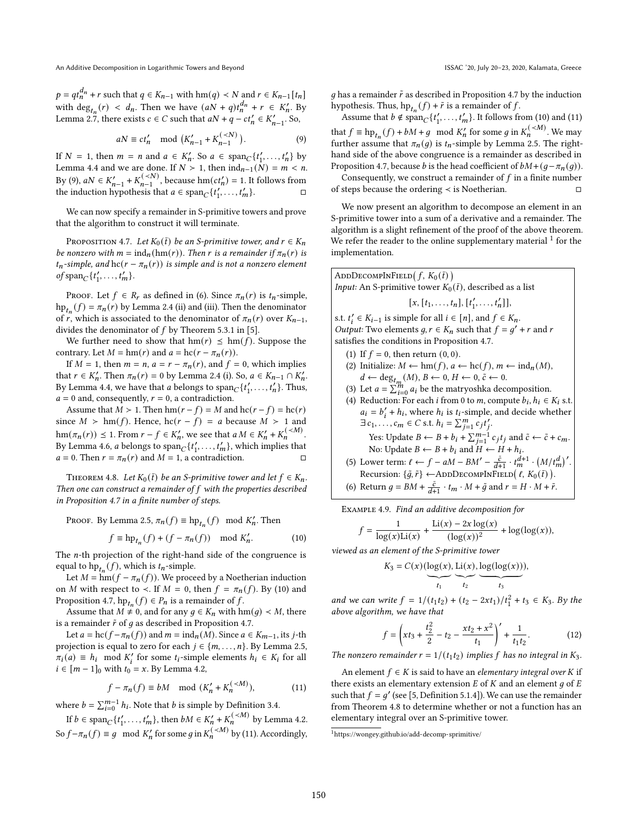$p = qt_n^{d_n} + r$  such that  $q \in K_{n-1}$  with  $\text{hm}(q) \prec N$  and  $r \in K_{n-1}[t_n]$ with  $\deg_{t_n}(r) < d_n$ . Then we have  $(aN + q)t_n^{d_n} + r \in K'_n$ . By Lemma [2.7,](#page-2-7) there exists  $c \in C$  such that  $aN + q - ct'_n \in K'_{n-1}$ . So,

<span id="page-4-0"></span>
$$
aN \equiv ct'_n \mod (K'_{n-1} + K_{n-1}^{( (9)
$$

If  $N = 1$ , then  $m = n$  and  $a \in K'_n$ . So  $a \in \text{span}_{\mathcal{C}}\{t'_1, \ldots, t'_n\}$  by Lemma [4.4](#page-3-4) and we are done. If  $N > 1$ , then  $\text{ind}_{n-1}(N) = m < n$ . By [\(9\)](#page-4-0),  $aN \in K'_{n-1} + K_{n-1}^{(, because  $\text{hm}(ct'_{n}) = 1$ . It follows from$ the induction hypothesis that  $a \in \text{span}_{\mathcal{C}}\{t'_1, \dots, t'_m\}.$ 

We can now specify a remainder in S-primitive towers and prove that the algorithm to construct it will terminate.

<span id="page-4-1"></span>PROPOSITION 4.7. Let  $K_0(\bar{t})$  be an S-primitive tower, and  $r \in K_n$ be nonzero with  $m = \text{ind}_n(\text{hm}(r))$ . Then r is a remainder if  $\pi_n(r)$  is  $t_n$ -simple, and  $hc(r - \pi_n(r))$  is simple and is not a nonzero element of span<sub>C</sub> $\{t'_1, \ldots, t'_m\}$ .

PROOF. Let  $f \in R_r$  as defined in [\(6\)](#page-2-8). Since  $\pi_n(r)$  is  $t_n$ -simple,  $\text{hp}_{t_n}(f) = \pi_n(r)$  by Lemma [2.4](#page-1-8) (ii) and (iii). Then the denominator of r, which is associated to the denominator of  $\pi_n(r)$  over  $K_{n-1}$ , divides the denominator of  $f$  by Theorem 5.3.1 in [\[5\]](#page-7-15).

We further need to show that  $\text{hm}(r) \leq \text{hm}(f)$ . Suppose the contrary. Let  $M = \text{hm}(r)$  and  $a = \text{hc}(r - \pi_n(r))$ .

If  $M = 1$ , then  $m = n$ ,  $a = r - \pi_n(r)$ , and  $f = 0$ , which implies that  $r \in K'_n$ . Then  $\pi_n(r) = 0$  by Lemma [2.4](#page-1-8) (i). So,  $a \in K_{n-1} \cap K'_n$ . By Lemma [4.4,](#page-3-4) we have that *a* belongs to  $\text{span}_{C} \{t'_{1}, \ldots, t'_{n}\}$ . Thus,  $a = 0$  and, consequently,  $r = 0$ , a contradiction.

Assume that  $M > 1$ . Then  $\text{hm}(r - f) = M$  and  $\text{hc}(r - f) = \text{hc}(r)$ since  $M > \text{hm}(f)$ . Hence,  $\text{hc}(r - f) = a$  because  $M > 1$  and  $\text{hm}(\pi_n(r)) \leq 1.$  From  $r - f \in K'_n$ , we see that  $a M \in K'_n + K_n^{(*M*)}$ . By Lemma [4.6,](#page-3-6) *a* belongs to span<sub>*C*</sub> { $t'_1$ , ...,  $t'_m$ }, which implies that  $a = 0$ . Then  $r = \pi_n(r)$  and  $M = 1$ , a contradiction.

<span id="page-4-5"></span>THEOREM 4.8. Let  $K_0(\bar{t})$  be an S-primitive tower and let  $f \in K_n$ . Then one can construct a remainder of  $f$  with the properties described in Proposition [4.7](#page-4-1) in a finite number of steps.

Proof. By Lemma [2.5,](#page-1-7)  $\pi_n(f) \equiv \text{hp}_{t_n}(f) \mod K'_n$ . Then

<span id="page-4-2"></span>
$$
f \equiv \mathrm{hp}_{t_n}(f) + (f - \pi_n(f)) \mod K'_n.
$$
 (10)

The  $n$ -th projection of the right-hand side of the congruence is equal to  $hp_{t_n}(f)$ , which is  $t_n$ -simple.

Let  $M = \text{hm}(f - \pi_n(f))$ . We proceed by a Noetherian induction on M with respect to  $\prec$ . If  $M = 0$ , then  $f = \pi_n(f)$ . By [\(10\)](#page-4-2) and Propositio[n 4.7,](#page-4-1)  $hp_{t_n}(f) \in P_n$  is a remainder of  $f$ .

Assume that  $M \neq 0$ , and for any  $g \in K_n$  with  $\text{hm}(g) \prec M$ , there is a remainder  $\tilde{r}$  of  $g$  as described in Proposition [4.7.](#page-4-1)

Let  $a = hc(f - \pi_n(f))$  and  $m = ind_n(M)$ . Since  $a \in K_{m-1}$ , its j-th projection is equal to zero for each  $j \in \{m, \ldots, n\}$ . By Lemma [2.5,](#page-1-7)  $\pi_i(a) \equiv h_i \mod K'_i$  for some  $t_i$ -simple elements  $h_i \in K_i$  for all  $i \in [m-1]_0$  with  $t_0 = x$ . By Lemm[a 4.2,](#page-3-5)

<span id="page-4-3"></span>
$$
f - \pi_n(f) \equiv bM \mod (K'_n + K_n^{(
$$

where  $b = \sum_{i=0}^{m-1} h_i$ . Note that b is simple by Definition [3.4.](#page-2-6)

If  $b \in \text{span}_{C} \{t'_{1}, \ldots, t'_{m}\}, \text{ then } bM \in K'_{n} + K_{n}^{( by Lemma [4.2.](#page-3-5)$ So  $f-\pi_n(f) \equiv g \mod K'_n$  for some  $g$  in  $K_n^{(\prec M)}$  by [\(11\)](#page-4-3). Accordingly, ٦

g has a remainder  $\tilde{r}$  as described in Proposition [4.7 b](#page-4-1)y the induction hypothesis. Thus,  $hp_{t_n}(f) + \tilde{r}$  is a remainder of  $f$ .

Assume that  $b \notin \text{span}_{C} \{t'_1, \ldots, t'_m\}$ . It follows from [\(10\)](#page-4-2) and [\(11\)](#page-4-3) that  $f \equiv \text{hp}_{t_n}(f) + bM + g \mod K'_n$  for some g in  $K_n^{(*M*)}$ . We may further assume that  $\pi_n(q)$  is  $t_n$ -simple by Lemma [2.5.](#page-1-7) The righthand side of the above congruence is a remainder as described in Propositio[n 4.7,](#page-4-1) because *b* is the head coefficient of  $bM + (g - \pi_n(g))$ .

Consequently, we construct a remainder of  $f$  in a finite number of steps because the ordering  $\lt$  is Noetherian.  $□$ 

We now present an algorithm to decompose an element in an S-primitive tower into a sum of a derivative and a remainder. The algorithm is a slight refinement of the proof of the above theorem. We refer the reader to the online supplementary material  $1$  for the implementation.

ADDECOMPINFIED(
$$
f, K_0(\bar{t})
$$
)  
\n*Input*: An S-primitive tower  $K_0(\bar{t})$ , described as a list  
\n[ $x, [t_1, ..., t_n], [t'_1, ..., t'_n]$ ],  
\ns.t.  $t'_i \in K_{i-1}$  is simple for all  $i \in [n]$ , and  $f \in K_n$ .  
\n*Output*: Two elements  $g, r \in K_n$  such that  $f = g' + r$  and  $r$   
\nsatisfies the conditions in Proposition 4.7.  
\n(1) If  $f = 0$ , then return (0, 0).  
\n(2) Initialize:  $M \leftarrow \text{hm}(f), a \leftarrow \text{hc}(f), m \leftarrow \text{ind}_n(M)$ ,  
\n $d \leftarrow \text{deg}_{t_m}(M), B \leftarrow 0, H \leftarrow 0, \tilde{c} \leftarrow 0$ .  
\n(3) Let  $a = \sum_{i=0}^{n} a_i$  be the matryoshka decomposition.  
\n(4) Reduction: For each  $i$  from 0 to  $m$ , compute  $b_i, h_i \in K_i$  s.t.  
\n $a_i = b'_i + h_i$ , where  $h_i$  is  $t_i$ -simple, and decide whether  
\n $\exists c_1, ..., c_m \in C$  s.t.  $h_i = \sum_{j=1}^{m} c_j t'_j$ .  
\nYes: Update  $B \leftarrow B + b_i$  and  $H \leftarrow H + h_i$ .  
\n(5) Lower term:  $f \leftarrow f - aM - BM' - \frac{\tilde{c}}{h} + \frac{d+1}{h} \cdot \frac{(M/d)^t}{h}$ 

(5) Lower term: 
$$
\ell \leftarrow f - aM - BM' - \frac{\tilde{c}}{d+1} \cdot t_m^{d+1} \cdot \left(\frac{M}{t_m^d}\right)^t
$$
. Recursion:  $\{\tilde{g}, \tilde{r}\} \leftarrow \text{ADDECOMPINFIED}(\ell, K_0(\tilde{t}))$ .

(6) Return  $g = BM + \frac{\tilde{c}}{d+1} \cdot t_m \cdot M + \tilde{g}$  and  $r = H \cdot M + \tilde{r}$ .

<span id="page-4-6"></span>Example 4.9. Find an additive decomposition for

$$
f = \frac{1}{\log(x)\text{Li}(x)} + \frac{\text{Li}(x) - 2x\log(x)}{(\log(x))^2} + \log(\log(x)),
$$

viewed as an element of the S-primitive tower

$$
K_3 = C(x) (\underbrace{\log(x), \text{Li}(x), \log(\log(x))}_{\text{cos}}),
$$

 $t_1$  $\begin{matrix} \searrow \\ t_2 \end{matrix}$  $t_3$ 

and we can write  $f = 1/(t_1t_2) + (t_2 - 2xt_1)/t_1^2 + t_3 \in K_3$ . By the above algorithm, we have that

<span id="page-4-7"></span>
$$
f = \left(xt_3 + \frac{t_2^2}{2} - t_2 - \frac{xt_2 + x^2}{t_1}\right)' + \frac{1}{t_1 t_2}.
$$
 (12)

The nonzero remainder  $r = 1/(t_1 t_2)$  implies f has no integral in  $K_3$ .

An element  $f \in K$  is said to have an elementary integral over  $K$  if there exists an elementary extension  $E$  of  $K$  and an element  $q$  of  $E$ such that  $f = g'$  (see [\[5,](#page-7-15) Definition 5.1.4]). We can use the remainder from Theorem [4.8](#page-4-5) to determine whether or not a function has an elementary integral over an S-primitive tower.

<span id="page-4-4"></span><sup>1</sup><https://wongey.github.io/add-decomp-sprimitive/>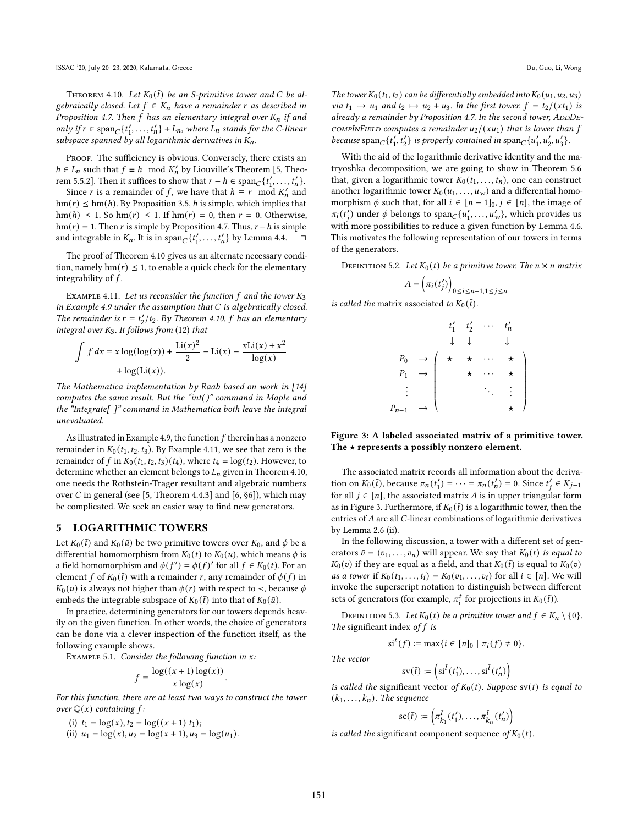<span id="page-5-1"></span>THEOREM 4.10. Let  $K_0(\bar{t})$  be an S-primitive tower and C be algebraically closed. Let  $f \in K_n$  have a remainder r as described in Proposition [4.7.](#page-4-1) Then f has an elementary integral over  $K_n$  if and only if  $r \in \text{span}_{C} \{t'_1, \ldots, t'_n\} + L_n$ , where  $L_n$  stands for the C-linear subspace spanned by all logarithmic derivatives in  $K_n$ .

PROOF. The sufficiency is obvious. Conversely, there exists an  $h \in L_n$  such that  $f \equiv h \mod K'_n$  by Liouville's Theorem [\[5,](#page-7-15) Theorem 5.5.2]. Then it suffices to show that  $r - h \in \text{span}_{C} \{t'_{1}, \ldots, t'_{n}\}.$ 

Since *r* is a remainder of *f*, we have that  $h \equiv r \mod K'_n$  and  $hm(r) \leq hm(h)$ . By Propositio[n 3.5,](#page-2-5) h is simple, which implies that  $\text{hm}(h) \leq 1$ . So  $\text{hm}(r) \leq 1$ . If  $\text{hm}(r) = 0$ , then  $r = 0$ . Otherwise, hm( $r$ ) = 1. Then  $r$  is simple by Proposition [4.7.](#page-4-1) Thus,  $r - h$  is simple and integrable in  $K_n$ . It is in span $_C\{t'_1, \ldots, t'_n\}$  by Lemma [4.4.](#page-3-4)  $\Box$ 

The proof of Theore[m 4.10 g](#page-5-1)ives us an alternate necessary condition, namely hm( $r$ )  $\leq$  1, to enable a quick check for the elementary integrability of  $f$ .

<span id="page-5-2"></span>EXAMPLE 4.11. Let us reconsider the function  $f$  and the tower  $K_3$ in Example [4.9](#page-4-6) under the assumption that  $C$  is algebraically closed. The remainder is  $r = t'_2/t_2$ . By Theorem [4.10,](#page-5-1) f has an elementary integral over  $K_3$ . It follows from [\(12\)](#page-4-7) that

$$
\int f dx = x \log(\log(x)) + \frac{\text{Li}(x)^2}{2} - \text{Li}(x) - \frac{x \text{Li}(x) + x^2}{\log(x)}
$$
  
+ log(\text{Li}(x)).

The Mathematica implementation by Raab based on work in [\[14\]](#page-7-12) computes the same result. But the "int( )" command in Maple and the "Integrate $[$ ]" command in Mathematica both leave the integral unevaluated.

As illustrated in Exampl[e 4.9,](#page-4-6) the function  $f$  therein has a nonzero remainder in  $K_0$  ( $t_1$ ,  $t_2$ ,  $t_3$ ). By Exampl[e 4.11,](#page-5-2) we see that zero is the remainder of f in  $K_0(t_1, t_2, t_3)$  ( $t_4$ ), where  $t_4 = \log(t_2)$ . However, to determine whether an element belongs to  $L_n$  given in Theore[m 4.10,](#page-5-1) one needs the Rothstein-Trager resultant and algebraic numbers over  $C$  in general (see [\[5,](#page-7-15) Theorem 4.4.3] and [\[6,](#page-7-6) §6]), which may be complicated. We seek an easier way to find new generators.

## <span id="page-5-0"></span>5 LOGARITHMIC TOWERS

Let  $K_0(\bar{t})$  and  $K_0(\bar{u})$  be two primitive towers over  $K_0$ , and  $\phi$  be a differential homomorphism from  $K_0(\bar{t})$  to  $K_0(\bar{u})$ , which means  $\phi$  is a field homomorphism and  $\phi(f') = \phi(f)'$  for all  $f \in K_0(\bar{t})$ . For an element f of  $K_0(\bar{t})$  with a remainder r, any remainder of  $\phi(f)$  in  $K_0(\bar{u})$  is always not higher than  $\phi(r)$  with respect to  $\prec$ , because  $\phi$ embeds the integrable subspace of  $K_0(\bar{t})$  into that of  $K_0(\bar{u})$ .

In practice, determining generators for our towers depends heavily on the given function. In other words, the choice of generators can be done via a clever inspection of the function itself, as the following example shows.

EXAMPLE 5.1. Consider the following function in  $x$ :

$$
f = \frac{\log((x+1)\log(x))}{x\log(x)}
$$

.

For this function, there are at least two ways to construct the tower over  $\mathbb{Q}(x)$  containing f:

(i) 
$$
t_1 = \log(x), t_2 = \log((x+1) t_1);
$$

(ii)  $u_1 = \log(x), u_2 = \log(x + 1), u_3 = \log(u_1).$ 

The tower  $K_0(t_1, t_2)$  can be differentially embedded into  $K_0(u_1, u_2, u_3)$ via  $t_1 \mapsto u_1$  and  $t_2 \mapsto u_2 + u_3$ . In the first tower,  $f = t_2/(xt_1)$  is already a remainder by Proposition [4.7.](#page-4-1) In the second tower,  $ADDDE-$ COMPINFIELD computes a remainder  $u_2/(x u_1)$  that is lower than f because  $\text{span}_{C} \{t'_1, t'_2\}$  is properly contained in  $\text{span}_{C} \{u'_1, u'_2, u'_3\}.$ 

With the aid of the logarithmic derivative identity and the matryoshka decomposition, we are going to show in Theorem [5.6](#page-6-0) that, given a logarithmic tower  $K_0(t_1, \ldots, t_n)$ , one can construct another logarithmic tower  $K_0(u_1, \ldots, u_w)$  and a differential homomorphism  $\phi$  such that, for all  $i \in [n-1]_0$ ,  $j \in [n]$ , the image of  $\pi_i(t_j^{\prime})$  under  $\phi$  belongs to span $\chi_t(u'_1,\ldots,u'_{w})$ , which provides us with more possibilities to reduce a given function by Lemma [4.6.](#page-3-6) This motivates the following representation of our towers in terms of the generators.

DEFINITION 5.2. Let  $K_0(\bar{t})$  be a primitive tower. The  $n \times n$  matrix

$$
A = \left(\pi_i(t'_j)\right)_{0 \le i \le n-1, 1 \le j \le n}
$$

<span id="page-5-3"></span>is called the matrix associated to  $K_0(\bar{t})$ .

|          |                                                                         | $t_1'$ | $t'_2$<br>$\downarrow$ | $\cdot$ $\cdot$ $\cdot$       | $t'_n$                     |  |
|----------|-------------------------------------------------------------------------|--------|------------------------|-------------------------------|----------------------------|--|
|          |                                                                         |        | $\star$ $\star$        | $\ldots$                      | $\star$                    |  |
|          | $\begin{array}{ccc} P_0 & \rightarrow \\ P_1 & \rightarrow \end{array}$ |        |                        | $\star$                       | $\star$                    |  |
|          |                                                                         |        |                        | $\mathcal{L}_{\mathcal{L}}$ . | $\mathcal{L}^{\text{max}}$ |  |
| $P_{n-}$ | $\rightarrow$                                                           |        |                        |                               |                            |  |
|          |                                                                         |        |                        |                               |                            |  |

Figure 3: A labeled associated matrix of a primitive tower. The  $\star$  represents a possibly nonzero element.

The associated matrix records all information about the derivation on  $K_0(\bar{t})$ , because  $\pi_n(t'_1) = \cdots = \pi_n(t'_n) = 0$ . Since  $t'_j \in K_{j-1}$ for all  $j \in [n]$ , the associated matrix A is in upper triangular form as in Figur[e 3.](#page-5-3) Furthermore, if  $K_0(\bar{t})$  is a logarithmic tower, then the entries of  $A$  are all  $C$ -linear combinations of logarithmic derivatives by Lemma [2.6](#page-1-6) (ii).

In the following discussion, a tower with a different set of generators  $\bar{v} = (v_1, \ldots, v_n)$  will appear. We say that  $K_0(\bar{t})$  is equal to  $K_0(\bar{v})$  if they are equal as a field, and that  $K_0(\bar{t})$  is equal to  $K_0(\bar{v})$ *as a tower* if  $K_0 (t_1, ..., t_i) = K_0 (v_1, ..., v_i)$  for all  $i \in [n]$ . We will invoke the superscript notation to distinguish between different sets of generators (for example,  $\pi_i^{\bar{t}}$  for projections in  $K_0(\bar{t})$ ).

DEFINITION 5.3. Let  $K_0(\bar{t})$  be a primitive tower and  $f \in K_n \setminus \{0\}.$ The significant index of  $f$  is

$$
si^{\bar{t}}(f) := \max\{i \in [n]_0 \mid \pi_i(f) \neq 0\}.
$$

The vector

$$
sv(\bar{t}) := \left(s i^{\bar{t}}(t'_1), \dots, s i^{\bar{t}}(t'_n)\right)
$$

is called the significant vector of  $K_0(\bar{t})$ . Suppose sv( $\bar{t}$ ) is equal to  $(k_1, \ldots, k_n)$ . The sequence

$$
\mathrm{sc}(\bar{t}) := \left(\pi_{k_1}^{\bar{t}}(t_1'), \ldots, \pi_{k_n}^{\bar{t}}(t_n')\right)
$$

is called the significant component sequence of  $K_0(\bar{t})$ .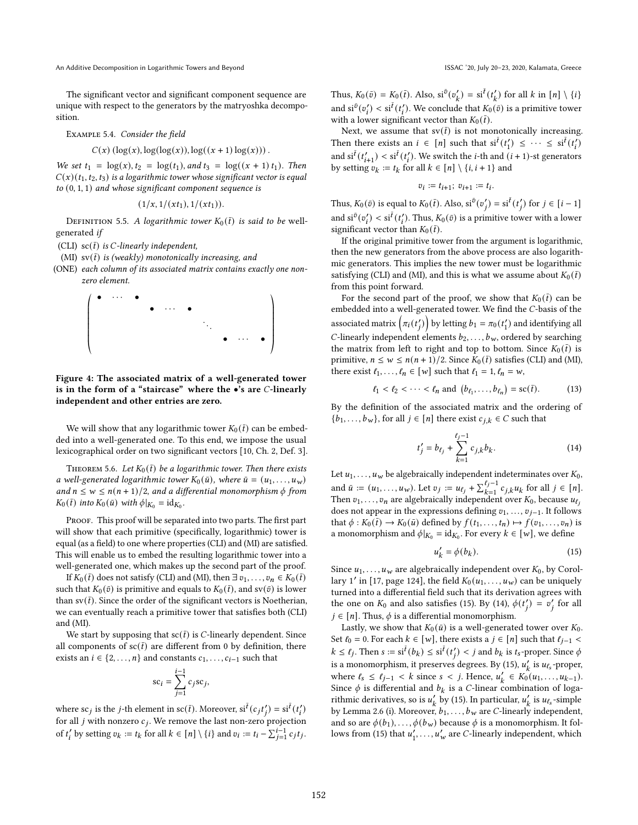An Additive Decomposition in Logarithmic Towers and Beyond **ISSAC 10**, July 20-23, 2020, Kalamata, Greece

The significant vector and significant component sequence are unique with respect to the generators by the matryoshka decomposition.

Example 5.4. Consider the field

$$
C(x) (\log(x), \log(\log(x)), \log((x+1)\log(x))).
$$

We set  $t_1 = \log(x)$ ,  $t_2 = \log(t_1)$ , and  $t_3 = \log((x + 1) t_1)$ . Then  $C(x)(t_1, t_2, t_3)$  is a logarithmic tower whose significant vector is equal to (0, 1, 1) and whose significant component sequence is

$$
(1/x,1/(xt_1),1/(xt_1)).
$$

DEFINITION 5.5. A logarithmic tower  $K_0(\bar{t})$  is said to be wellgenerated if

(CLI)  $\operatorname{sc}(\bar{t})$  is *C*-linearly independent,

- (MI) sv $(\bar{t})$  is (weakly) monotonically increasing, and
- (ONE) each column of its associated matrix contains exactly one nonzero element.



Figure 4: The associated matrix of a well-generated tower is in the form of a "staircase" where the  $\bullet$ 's are *C*-linearly independent and other entries are zero.

We will show that any logarithmic tower  $K_0(\bar{t})$  can be embedded into a well-generated one. To this end, we impose the usual lexicographical order on two significant vectors [\[10,](#page-7-16) Ch. 2, Def. 3].

<span id="page-6-0"></span>THEOREM 5.6. Let  $K_0(\bar{t})$  be a logarithmic tower. Then there exists a well-generated logarithmic tower  $K_0(\bar{u})$ , where  $\bar{u} = (u_1, \ldots, u_w)$ and  $n \leq w \leq n(n + 1)/2$ , and a differential monomorphism  $\phi$  from  $K_0(\bar{t})$  into  $K_0(\bar{u})$  with  $\phi|_{K_0} = \mathrm{id}_{K_0}$ .

PROOF. This proof will be separated into two parts. The first part will show that each primitive (specifically, logarithmic) tower is equal (as a field) to one where properties (CLI) and (MI) are satisfied. This will enable us to embed the resulting logarithmic tower into a well-generated one, which makes up the second part of the proof.

If  $K_0(\bar{t})$  does not satisfy (CLI) and (MI), then  $\exists v_1, \ldots, v_n \in K_0(\bar{t})$ such that  $K_0(\bar{v})$  is primitive and equals to  $K_0(\bar{t})$ , and sv( $\bar{v}$ ) is lower than  $\text{sv}(\bar{t})$ . Since the order of the significant vectors is Noetherian, we can eventually reach a primitive tower that satisfies both (CLI) and (MI).

We start by supposing that  $\text{sc}(\bar{t})$  is *C*-linearly dependent. Since all components of  $\operatorname{sc}(\bar{t})$  are different from 0 by definition, there exists an  $i \in \{2, \ldots, n\}$  and constants  $c_1, \ldots, c_{i-1}$  such that

$$
sc_i = \sum_{j=1}^{i-1} c_j sc_j,
$$

where sc<sub>j</sub> is the j-th element in sc( $\bar{t}$ ). Moreover, si $^{\bar{t}}(c_j t'_j) = \text{si}^{\bar{t}}(t'_i)$ for all  $j$  with nonzero  $c_j$ . We remove the last non-zero projection of  $t'_i$  by setting  $v_k := t_k$  for all  $k \in [n] \setminus \{i\}$  and  $v_i := t_i - \sum_{j=1}^{i-1} c_j t_j$ .

Thus,  $K_0(\bar{v}) = K_0(\bar{t})$ . Also,  $si^{\bar{v}}(v'_k) = si^{\bar{t}}(t'_k)$  for all  $k$  in  $[n] \setminus \{i\}$ and  $\sin^{\bar{v}}(v'_i) < \sin^{\bar{t}}(t'_i)$ . We conclude that  $K_0(\bar{v})$  is a primitive tower with a lower significant vector than  $K_0(\bar{t})$ .

Next, we assume that  $\text{sv}(\bar{t})$  is not monotonically increasing. Then there exists an  $i \in [n]$  such that  $\operatorname{si}^{\bar{t}}(t'_1) \leq \cdots \leq \operatorname{si}^{\bar{t}}(t'_i)$ and  $\mathrm{si}^{\bar{t}}(t'_{i+1}) < \mathrm{si}^{\bar{t}}(t'_{i})$ . We switch the *i*-th and  $(i + 1)$ -st generators by setting  $v_k := t_k$  for all  $k \in [n] \setminus \{i, i + 1\}$  and

$$
v_i:=t_{i+1};\ v_{i+1}:=t_i.
$$

Thus,  $K_0(\bar{v})$  is equal to  $K_0(\bar{t})$ . Also,  $s i^{\bar{v}}(v'_j) = s i^{\bar{t}}(t'_j)$  for  $j \in [i-1]$ and  $\sin^{\bar{v}}(v'_i) < \sin^{\bar{t}}(t'_i)$ . Thus,  $K_0(\bar{v})$  is a primitive tower with a lower significant vector than  $K_0(\bar{t})$ .

If the original primitive tower from the argument is logarithmic, then the new generators from the above process are also logarithmic generators. This implies the new tower must be logarithmic satisfying (CLI) and (MI), and this is what we assume about  $K_0 (\bar{t})$ from this point forward.

For the second part of the proof, we show that  $K_0 (\bar{t})$  can be embedded into a well-generated tower. We find the C-basis of the associated matrix  $\left(\pi_i(t'_j)\right)$  by letting  $b_1 = \pi_0(t'_1)$  and identifying all C-linearly independent elements  $b_2, \ldots, b_w$ , ordered by searching the matrix from left to right and top to bottom. Since  $K_0(\bar{t})$  is primitive,  $n \leq w \leq n(n + 1)/2$ . Since  $K_0(\bar{t})$  satisfies (CLI) and (MI), there exist  $\ell_1, \ldots, \ell_n \in [w]$  such that  $\ell_1 = 1, \ell_n = w$ ,

$$
\ell_1 < \ell_2 < \cdots < \ell_n \text{ and } \left(b_{\ell_1}, \ldots, b_{\ell_n}\right) = \text{sc}(\bar{t}).\tag{13}
$$

By the definition of the associated matrix and the ordering of  ${b_1, \ldots, b_w}$ , for all  $j \in [n]$  there exist  $c_{j,k} \in C$  such that

<span id="page-6-2"></span>
$$
t'_{j} = b_{\ell_{j}} + \sum_{k=1}^{\ell_{j}-1} c_{j,k} b_{k}.
$$
 (14)

Let  $u_1, \ldots, u_w$  be algebraically independent indeterminates over  $K_0$ , and  $\bar{u} := (u_1, \dots, u_w)$ . Let  $v_j := u_{\ell_j} + \sum_{k=1}^{\ell_j - 1} c_{j,k} u_k$  for all  $j \in [n]$ . Then  $v_1, \ldots, v_n$  are algebraically independent over  $K_0$ , because  $u_{\ell_j}$ does not appear in the expressions defining  $v_1, \ldots, v_{j-1}$ . It follows that  $\phi: K_0(\overline{t}) \to K_0(\overline{u})$  defined by  $f(t_1, \ldots, t_n) \mapsto f(v_1, \ldots, v_n)$  is a monomorphism and  $\phi|_{K_0} = \mathrm{id}_{K_0}$ . For every  $k \in [w]$ , we define

<span id="page-6-1"></span>
$$
u'_k = \phi(b_k). \tag{15}
$$

Since  $u_1, \ldots, u_w$  are algebraically independent over  $K_0$ , by Corol-lary 1' in [\[17,](#page-7-17) page 124], the field  $K_0(u_1, \ldots, u_w)$  can be uniquely turned into a differential field such that its derivation agrees with the one on  $K_0$  and also satisfies [\(15\)](#page-6-1). By [\(14\)](#page-6-2),  $\phi(t'_j) = v'_j$  for all  $i \in [n]$ . Thus,  $\phi$  is a differential monomorphism.

Lastly, we show that  $K_0(\bar{u})$  is a well-generated tower over  $K_0$ . Set  $\ell_0 = 0$ . For each  $k \in [w]$ , there exists a  $j \in [n]$  such that  $\ell_{j-1}$  <  $k \le \ell_j$ . Then  $s := \mathrm{si}^{\bar{t}}(b_k) \le \mathrm{si}^{\bar{t}}(t'_j) < j$  and  $b_k$  is  $t_s$ -proper. Since  $\phi$ is a monomorphism, it preserves degrees. By [\(15\)](#page-6-1),  $u'_{k}$  is  $u_{\ell_{s}}$ -proper, where  $\ell_s \le \ell_{j-1} < k$  since  $s < j$ . Hence,  $u'_k \in K_0(u_1, ..., u_{k-1})$ . Since  $\phi$  is differential and  $b_k$  is a C-linear combination of logarithmic derivatives, so is  $u'_k$  by [\(15\)](#page-6-1). In particular,  $u'_k$  is  $u_{\ell_s}$ -simple by Lemma [2.6](#page-1-6) (i). Moreover,  $b_1, \ldots, b_w$  are *C*-linearly independent, and so are  $\phi(b_1), \ldots, \phi(b_w)$  because  $\phi$  is a monomorphism. It fol-lows from [\(15\)](#page-6-1) that  $u'_1, \ldots, u'_w$  are *C*-linearly independent, which